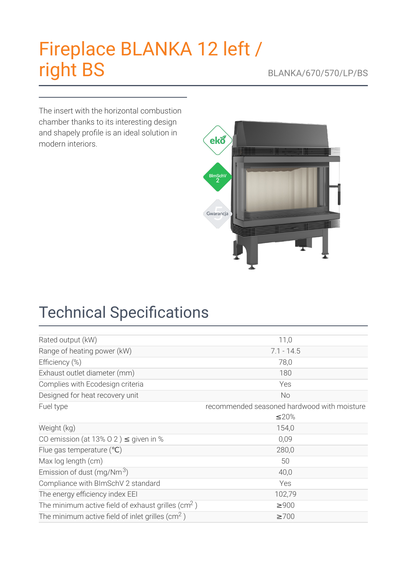# [Fireplace](https://kratki.com/sklep/en/produkt/1492/fireplace-blanka-12-left-right-bs) BLANKA 12 left / right BS BLANKA/670/570/LP/BS

The insert with the horizontal combustion chamber thanks to its interesting design and shapely profile is an ideal solution in modern interiors.



## **Technical Specifications**

| Rated output (kW)                                             | 11,0                                        |
|---------------------------------------------------------------|---------------------------------------------|
| Range of heating power (kW)                                   | $7.1 - 14.5$                                |
| Efficiency (%)                                                | 78,0                                        |
| Exhaust outlet diameter (mm)                                  | 180                                         |
| Complies with Ecodesign criteria                              | Yes                                         |
| Designed for heat recovery unit                               | <b>No</b>                                   |
| Fuel type                                                     | recommended seasoned hardwood with moisture |
|                                                               | ≤20%                                        |
| Weight (kg)                                                   | 154,0                                       |
| CO emission (at 13% O 2) $\leq$ given in %                    | 0,09                                        |
| Flue gas temperature $(°C)$                                   | 280,0                                       |
| Max log length (cm)                                           | 50                                          |
| Emission of dust (mg/Nm <sup>3</sup> )                        | 40,0                                        |
| Compliance with BImSchV 2 standard                            | Yes                                         |
| The energy efficiency index EEI                               | 102,79                                      |
| The minimum active field of exhaust grilles ( $\text{cm}^2$ ) | $\geq$ 900                                  |
| The minimum active field of inlet grilles ( $\text{cm}^2$ )   | $\geq 700$                                  |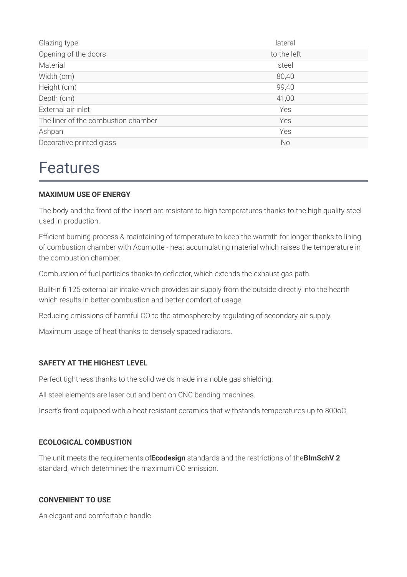| Glazing type                        | lateral     |
|-------------------------------------|-------------|
| Opening of the doors                | to the left |
| Material                            | steel       |
| Width (cm)                          | 80,40       |
| Height (cm)                         | 99,40       |
| Depth (cm)                          | 41,00       |
| External air inlet                  | Yes         |
| The liner of the combustion chamber | Yes         |
| Ashpan                              | Yes         |
| Decorative printed glass            | <b>No</b>   |

### Features

#### **MAXIMUM USE OF ENERGY**

The body and the front of the insert are resistant to high temperatures thanks to the high quality steel used in production.

Efficient burning process & maintaining of temperature to keep the warmth for longer thanks to lining of combustion chamber with Acumotte - heat accumulating material which raises the temperature in the combustion chamber.

Combustion of fuel particles thanks to deflector, which extends the exhaust gas path.

Built-in 125 external air intake which provides air supply from the outside directly into the hearth which results in better combustion and better comfort of usage.

Reducing emissions of harmful CO to the atmosphere by regulating of secondary air supply.

Maximum usage of heat thanks to densely spaced radiators.

#### **SAFETY AT THE HIGHEST LEVEL**

Perfect tightness thanks to the solid welds made in a noble gas shielding.

All steel elements are laser cut and bent on CNC bending machines.

Insert's front equipped with a heat resistant ceramics that withstands temperatures up to 800oC.

#### **ECOLOGICAL COMBUSTION**

The unit meets the requirements of**Ecodesign** standards and the restrictions of the**BImSchV 2** standard, which determines the maximum CO emission.

#### **CONVENIENT TO USE**

An elegant and comfortable handle.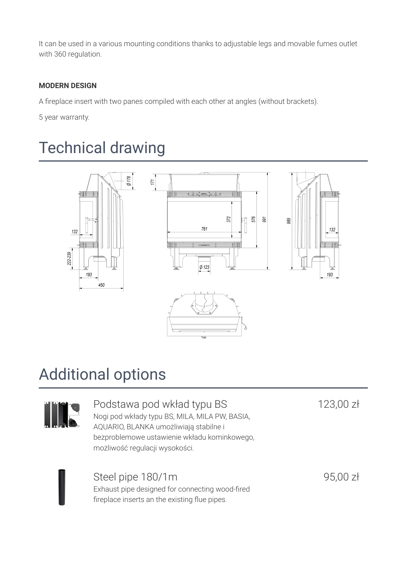It can be used in a various mounting conditions thanks to adjustable legs and movable fumes outlet with 360 regulation.

#### **MODERN DESIGN**

A fireplace insert with two panes compiled with each other at angles (without brackets).

5 year warranty.

### Technical drawing



### Additional options



### Podstawa pod wkład typu BS

Nogi pod wkłady typu BS, MILA, MILA PW, BASIA, AQUARIO, BLANKA umożliwiają stabilne i bezproblemowe ustawienie wkładu kominkowego, możliwość regulacji wysokości.

123,00 zł



### Steel pipe 180/1m

Exhaust pipe designed for connecting wood-fired fireplace inserts an the existing flue pipes.

95,00 zł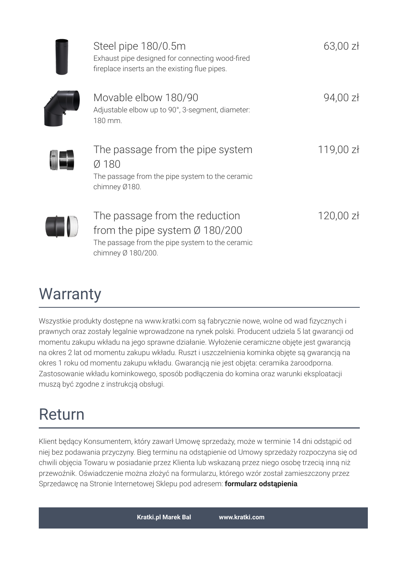| Steel pipe 180/0.5m<br>Exhaust pipe designed for connecting wood-fired<br>fireplace inserts an the existing flue pipes.                               | $63,00$ zł  |
|-------------------------------------------------------------------------------------------------------------------------------------------------------|-------------|
| Movable elbow 180/90<br>Adjustable elbow up to 90°, 3-segment, diameter:<br>180 mm.                                                                   | 94,00 zł    |
| The passage from the pipe system<br>Ø 180<br>The passage from the pipe system to the ceramic<br>chimney Ø180.                                         | 119,00 zł   |
| The passage from the reduction<br>from the pipe system $\varnothing$ 180/200<br>The passage from the pipe system to the ceramic<br>chimney Ø 180/200. | $120,00$ zł |

### **Warranty**

Wszystkie produkty dostępne na www.kratki.com są fabrycznie nowe, wolne od wad fizycznych i prawnych oraz zostały legalnie wprowadzone na rynek polski. Producent udziela 5 lat gwarancji od momentu zakupu wkładu na jego sprawne działanie. Wyłożenie ceramiczne objęte jest gwarancją na okres 2 lat od momentu zakupu wkładu. Ruszt i uszczelnienia kominka objęte są gwarancją na okres 1 roku od momentu zakupu wkładu. Gwarancją nie jest objęta: ceramika żaroodporna. Zastosowanie wkładu kominkowego, sposób podłączenia do komina oraz warunki eksploatacji muszą być zgodne z instrukcją obsługi.

## Return

Klient będący Konsumentem, który zawarł Umowę sprzedaży, może w terminie 14 dni odstąpić od niej bez podawania przyczyny. Bieg terminu na odstąpienie od Umowy sprzedaży rozpoczyna się od chwili objęcia Towaru w posiadanie przez Klienta lub wskazaną przez niego osobę trzecią inną niż przewoźnik. Oświadczenie można złożyć na formularzu, którego wzór został zamieszczony przez Sprzedawcę na Stronie Internetowej Sklepu pod adresem: **formularz [odstąpienia](http://kratki.com/sklep/pl/17/formularz-odstapienia)**.

**Kratki.pl Marek Bal [www.kratki.com](https://kratki.com)**